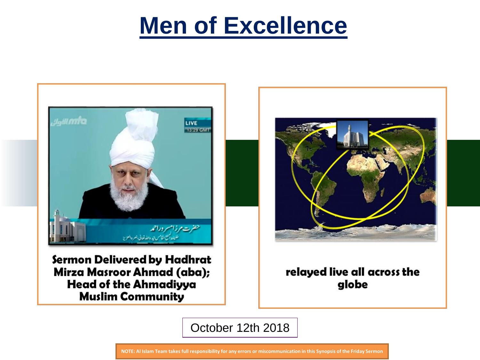# **Men of Excellence**



Sermon Delivered by Hadhrat Mirza Masroor Ahmad (aba); **Head of the Ahmadiyya Muslim Community** 



relayed live all across the globe

October 12th 2018

**NOTE: Al Islam Team takes full responsibility for any errors or miscommunication in this Synopsis of the Friday Sermon**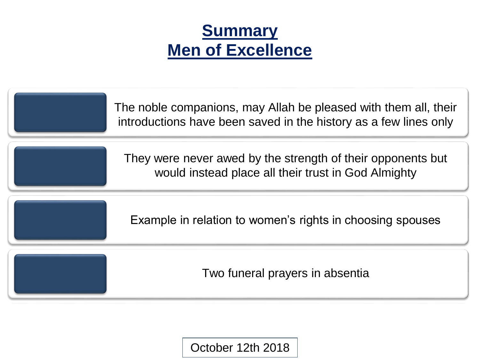# **Summary Men of Excellence**

| The noble companions, may Allah be pleased with them all, their<br>introductions have been saved in the history as a few lines only |
|-------------------------------------------------------------------------------------------------------------------------------------|
| They were never awed by the strength of their opponents but<br>would instead place all their trust in God Almighty                  |
| Example in relation to women's rights in choosing spouses                                                                           |
| Two funeral prayers in absentia                                                                                                     |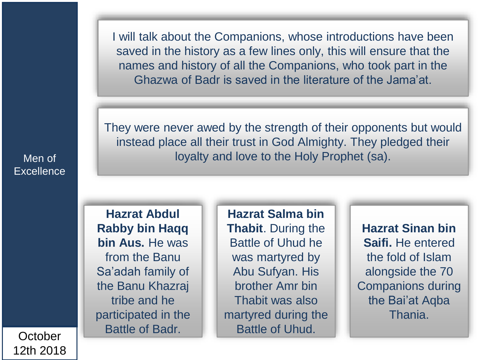I will talk about the Companions, whose introductions have been saved in the history as a few lines only, this will ensure that the names and history of all the Companions, who took part in the Ghazwa of Badr is saved in the literature of the Jama'at.

They were never awed by the strength of their opponents but would instead place all their trust in God Almighty. They pledged their loyalty and love to the Holy Prophet (sa).

**Hazrat Abdul Rabby bin Haqq bin Aus.** He was from the Banu Sa'adah family of the Banu Khazraj tribe and he participated in the Battle of Badr.

**Hazrat Salma bin Thabit**. During the Battle of Uhud he was martyred by Abu Sufyan. His brother Amr bin Thabit was also martyred during the Battle of Uhud.

**Hazrat Sinan bin Saifi.** He entered the fold of Islam alongside the 70 Companions during the Bai'at Aqba Thania.

Men of **Excellence**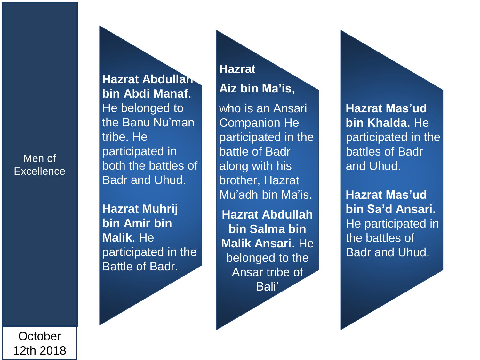Men of **Excellence**  **Hazrat Abdullah bin Abdi Manaf**. He belonged to the Banu Nu'man tribe. He participated in both the battles of Badr and Uhud.

**Hazrat Muhrij bin Amir bin Malik**. He participated in the Battle of Badr.

## **Hazrat Aiz bin Ma'is,**

who is an Ansari Companion He participated in the battle of Badr along with his brother, Hazrat Mu'adh bin Ma'is.

**Hazrat Abdullah bin Salma bin Malik Ansari**. He belonged to the Ansar tribe of Bali'

**Hazrat Mas'ud bin Khalda**. He participated in the battles of Badr and Uhud.

**Hazrat Mas'ud bin Sa'd Ansari.**  He participated in the battles of Badr and Uhud.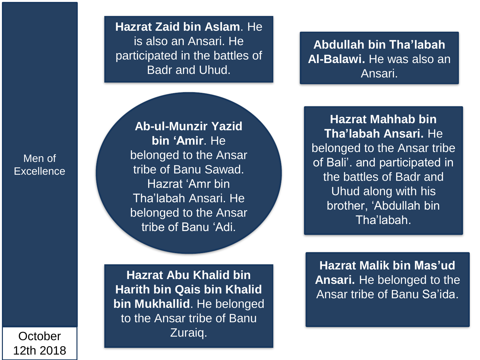**Hazrat Zaid bin Aslam**. He is also an Ansari. He participated in the battles of Badr and Uhud.

**Abdullah bin Tha'labah Al-Balawi.** He was also an Ansari.

Men of **Excellence** 

**Ab-ul-Munzir Yazid bin 'Amir**. He belonged to the Ansar tribe of Banu Sawad. Hazrat 'Amr bin Tha'labah Ansari. He belonged to the Ansar tribe of Banu 'Adi.

**Hazrat Mahhab bin Tha'labah Ansari.** He belonged to the Ansar tribe of Bali'. and participated in the battles of Badr and Uhud along with his brother, 'Abdullah bin Tha'labah.

**Hazrat Abu Khalid bin Harith bin Qais bin Khalid bin Mukhallid**. He belonged to the Ansar tribe of Banu Zuraiq.

**Hazrat Malik bin Mas'ud Ansari.** He belonged to the Ansar tribe of Banu Sa'ida.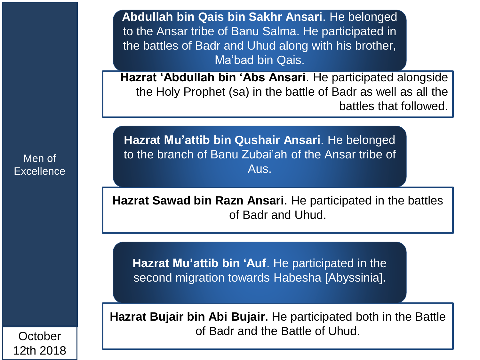**Abdullah bin Qais bin Sakhr Ansari**. He belonged to the Ansar tribe of Banu Salma. He participated in the battles of Badr and Uhud along with his brother, Ma'bad bin Qais.

**Hazrat 'Abdullah bin 'Abs Ansari**. He participated alongside the Holy Prophet (sa) in the battle of Badr as well as all the battles that followed.

**Hazrat Mu'attib bin Qushair Ansari**. He belonged to the branch of Banu Zubai'ah of the Ansar tribe of Aus.

**Hazrat Sawad bin Razn Ansari**. He participated in the battles of Badr and Uhud.

**Hazrat Mu'attib bin 'Auf**. He participated in the second migration towards Habesha [Abyssinia].

**Hazrat Bujair bin Abi Bujair**. He participated both in the Battle of Badr and the Battle of Uhud.

Men of **Excellence**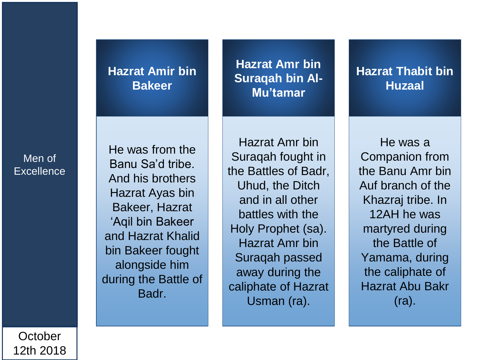### **Hazrat Amir bin Bakeer**

Men of **Excellence** 

He was from the Banu Sa'd tribe. And his brothers Hazrat Ayas bin Bakeer, Hazrat 'Aqil bin Bakeer and Hazrat Khalid bin Bakeer fought alongside him during the Battle of Badr.

**Hazrat Amr bin Suraqah bin Al-Mu'tamar**

#### **Hazrat Thabit bin Huzaal**

Hazrat Amr bin Suraqah fought in the Battles of Badr, Uhud, the Ditch and in all other battles with the Holy Prophet (sa). Hazrat Amr bin Suraqah passed away during the caliphate of Hazrat Usman (ra).

He was a Companion from the Banu Amr bin Auf branch of the Khazraj tribe. In 12AH he was martyred during the Battle of Yamama, during the caliphate of Hazrat Abu Bakr (ra).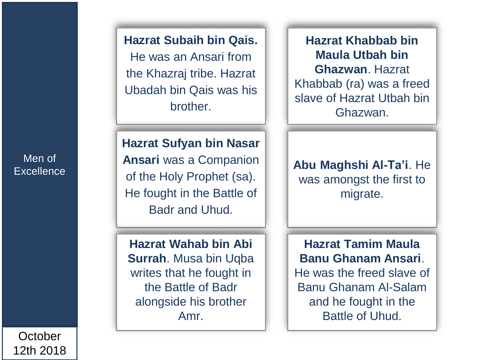Men of **Excellence** 

**October** 12th 2018 **Hazrat Subaih bin Qais.**  He was an Ansari from the Khazraj tribe. Hazrat Ubadah bin Qais was his brother.

**Hazrat Sufyan bin Nasar Ansari** was a Companion of the Holy Prophet (sa). He fought in the Battle of Badr and Uhud.

**Hazrat Wahab bin Abi Surrah**. Musa bin Uqba writes that he fought in the Battle of Badr alongside his brother Amr.

**Hazrat Khabbab bin Maula Utbah bin Ghazwan**. Hazrat Khabbab (ra) was a freed slave of Hazrat Utbah bin Ghazwan.

**Abu Maghshi Al-Ta'i**. He was amongst the first to migrate.

**Hazrat Tamim Maula Banu Ghanam Ansari**. He was the freed slave of Banu Ghanam Al-Salam and he fought in the Battle of Uhud.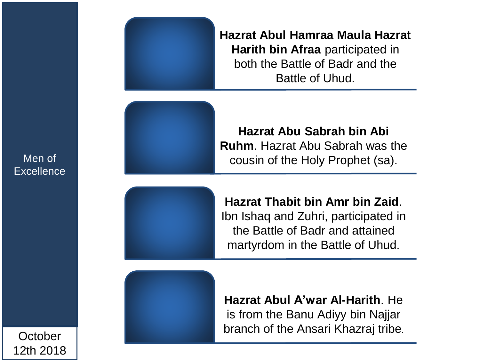**Hazrat Abul Hamraa Maula Hazrat Harith bin Afraa** participated in both the Battle of Badr and the Battle of Uhud.

**Hazrat Abu Sabrah bin Abi Ruhm**. Hazrat Abu Sabrah was the cousin of the Holy Prophet (sa).

**Hazrat Thabit bin Amr bin Zaid**.

Ibn Ishaq and Zuhri, participated in the Battle of Badr and attained martyrdom in the Battle of Uhud.

**Hazrat Abul A'war Al-Harith**. He is from the Banu Adiyy bin Najjar branch of the Ansari Khazraj tribe.

Men of **Excellence**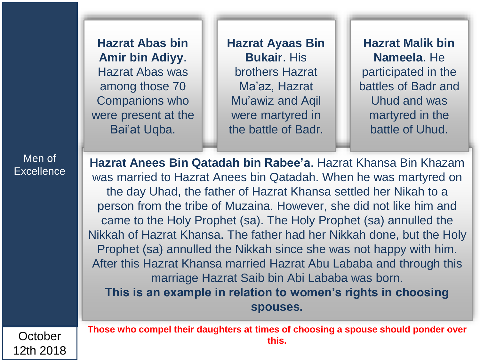**Hazrat Abas bin Amir bin Adiyy**. Hazrat Abas was among those 70 Companions who were present at the Bai'at Uqba.

**Hazrat Ayaas Bin Bukair**. His brothers Hazrat Ma'az, Hazrat Mu'awiz and Aqil were martyred in the battle of Badr.

**Hazrat Malik bin Nameela**. He participated in the battles of Badr and Uhud and was martyred in the battle of Uhud.

Men of **Excellence** 

**October** 

12th 2018

**Hazrat Anees Bin Qatadah bin Rabee'a**. Hazrat Khansa Bin Khazam was married to Hazrat Anees bin Qatadah. When he was martyred on the day Uhad, the father of Hazrat Khansa settled her Nikah to a person from the tribe of Muzaina. However, she did not like him and came to the Holy Prophet (sa). The Holy Prophet (sa) annulled the Nikkah of Hazrat Khansa. The father had her Nikkah done, but the Holy Prophet (sa) annulled the Nikkah since she was not happy with him. After this Hazrat Khansa married Hazrat Abu Lababa and through this marriage Hazrat Saib bin Abi Lababa was born. **This is an example in relation to women's rights in choosing spouses.** 

**Those who compel their daughters at times of choosing a spouse should ponder over this.**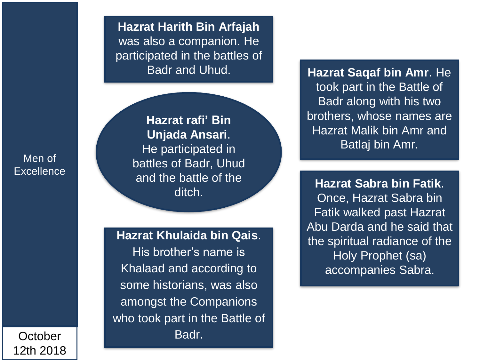**Hazrat Harith Bin Arfajah** was also a companion. He participated in the battles of Badr and Uhud.

Men of **Excellence** 

**Hazrat rafi' Bin Unjada Ansari**. He participated in battles of Badr, Uhud and the battle of the ditch.

**Hazrat Khulaida bin Qais**.

His brother's name is Khalaad and according to some historians, was also amongst the Companions who took part in the Battle of Badr .

**Hazrat Saqaf bin Amr**. He took part in the Battle of Badr along with his two brothers, whose names are Hazrat Malik bin Amr and Batlaj bin Amr.

**Hazrat Sabra bin Fatik**. Once, Hazrat Sabra bin Fatik walked past Hazrat Abu Darda and he said that the spiritual radiance of the Holy Prophet (sa) accompanies Sabra.